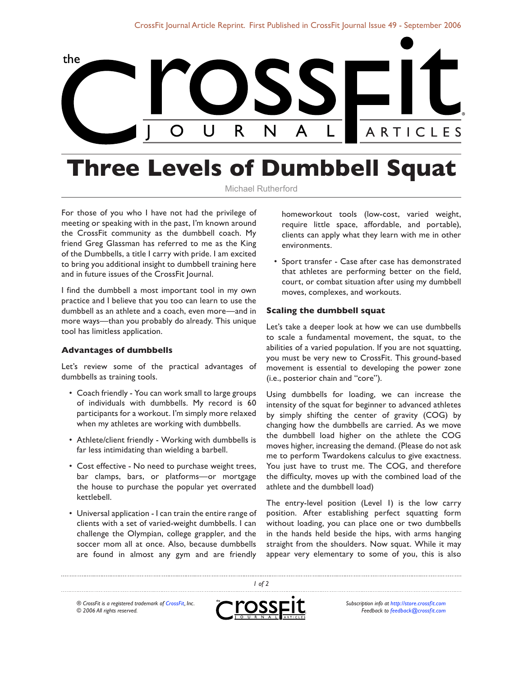

# **Three Levels of Dumbbell Squat**

### Michael Rutherford

For those of you who I have not had the privilege of meeting or speaking with in the past, I'm known around the CrossFit community as the dumbbell coach. My friend Greg Glassman has referred to me as the King of the Dumbbells, a title I carry with pride. I am excited to bring you additional insight to dumbbell training here and in future issues of the CrossFit Journal.

I find the dumbbell a most important tool in my own practice and I believe that you too can learn to use the dumbbell as an athlete and a coach, even more—and in more ways—than you probably do already. This unique tool has limitless application.

#### **Advantages of dumbbells**

Let's review some of the practical advantages of dumbbells as training tools.

- Coach friendly You can work small to large groups of individuals with dumbbells. My record is 60 participants for a workout. I'm simply more relaxed when my athletes are working with dumbbells.
- Athlete/client friendly Working with dumbbells is far less intimidating than wielding a barbell.
- Cost effective No need to purchase weight trees, bar clamps, bars, or platforms—or mortgage the house to purchase the popular yet overrated kettlebell.
- Universal application I can train the entire range of clients with a set of varied-weight dumbbells. I can challenge the Olympian, college grappler, and the soccer mom all at once. Also, because dumbbells are found in almost any gym and are friendly

homeworkout tools (low-cost, varied weight, require little space, affordable, and portable), clients can apply what they learn with me in other environments.

• Sport transfer - Case after case has demonstrated that athletes are performing better on the field, court, or combat situation after using my dumbbell moves, complexes, and workouts.

#### **Scaling the dumbbell squat**

Let's take a deeper look at how we can use dumbbells to scale a fundamental movement, the squat, to the abilities of a varied population. If you are not squatting, you must be very new to CrossFit. This ground-based movement is essential to developing the power zone (i.e., posterior chain and "core").

Using dumbbells for loading, we can increase the intensity of the squat for beginner to advanced athletes by simply shifting the center of gravity (COG) by changing how the dumbbells are carried. As we move the dumbbell load higher on the athlete the COG moves higher, increasing the demand. (Please do not ask me to perform Twardokens calculus to give exactness. You just have to trust me. The COG, and therefore the difficulty, moves up with the combined load of the athlete and the dumbbell load)

The entry-level position (Level 1) is the low carry position. After establishing perfect squatting form without loading, you can place one or two dumbbells in the hands held beside the hips, with arms hanging straight from the shoulders. Now squat. While it may appear very elementary to some of you, this is also

*® CrossFit is a registered trademark of [CrossFit,](http://www.crossfit.com) Inc. © 2006 All rights reserved.*



*1 of 2*

*Subscription info at [http://store.crossfit.com](http://journal.crossfit.com) Feedback to [feedback@crossfit.com](mailto:feedback@crossfit.com)*